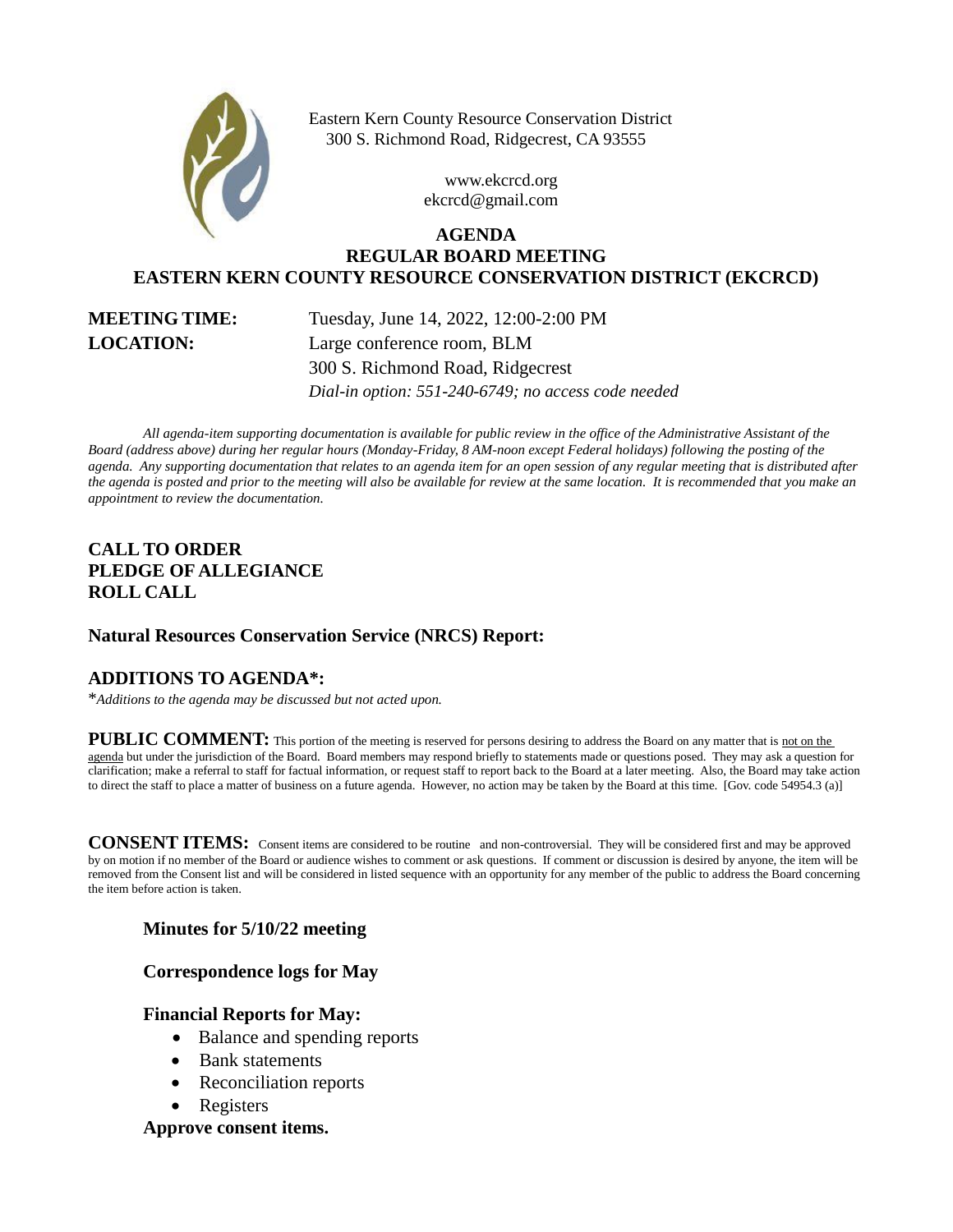

Eastern Kern County Resource Conservation District 300 S. Richmond Road, Ridgecrest, CA 93555

> www.ekcrcd.org ekcrcd@gmail.com

# **AGENDA REGULAR BOARD MEETING EASTERN KERN COUNTY RESOURCE CONSERVATION DISTRICT (EKCRCD)**

**MEETING TIME:** Tuesday, June 14, 2022, 12:00-2:00 PM **LOCATION:** Large conference room, BLM 300 S. Richmond Road, Ridgecrest *Dial-in option: 551-240-6749; no access code needed*

*All agenda-item supporting documentation is available for public review in the office of the Administrative Assistant of the Board (address above) during her regular hours (Monday-Friday, 8 AM-noon except Federal holidays) following the posting of the agenda. Any supporting documentation that relates to an agenda item for an open session of any regular meeting that is distributed after the agenda is posted and prior to the meeting will also be available for review at the same location. It is recommended that you make an appointment to review the documentation.*

# **CALL TO ORDER PLEDGE OF ALLEGIANCE ROLL CALL**

### **Natural Resources Conservation Service (NRCS) Report:**

# **ADDITIONS TO AGENDA\*:**

\**Additions to the agenda may be discussed but not acted upon.*

PUBLIC COMMENT: This portion of the meeting is reserved for persons desiring to address the Board on any matter that is not on the agenda but under the jurisdiction of the Board. Board members may respond briefly to statements made or questions posed. They may ask a question for clarification; make a referral to staff for factual information, or request staff to report back to the Board at a later meeting. Also, the Board may take action to direct the staff to place a matter of business on a future agenda. However, no action may be taken by the Board at this time. [Gov. code 54954.3 (a)]

**CONSENT ITEMS:** Consent items are considered to be routine and non-controversial. They will be considered first and may be approved by on motion if no member of the Board or audience wishes to comment or ask questions. If comment or discussion is desired by anyone, the item will be removed from the Consent list and will be considered in listed sequence with an opportunity for any member of the public to address the Board concerning the item before action is taken.

### **Minutes for 5/10/22 meeting**

### **Correspondence logs for May**

### **Financial Reports for May:**

- Balance and spending reports
- Bank statements
- Reconciliation reports
- Registers

### **Approve consent items.**